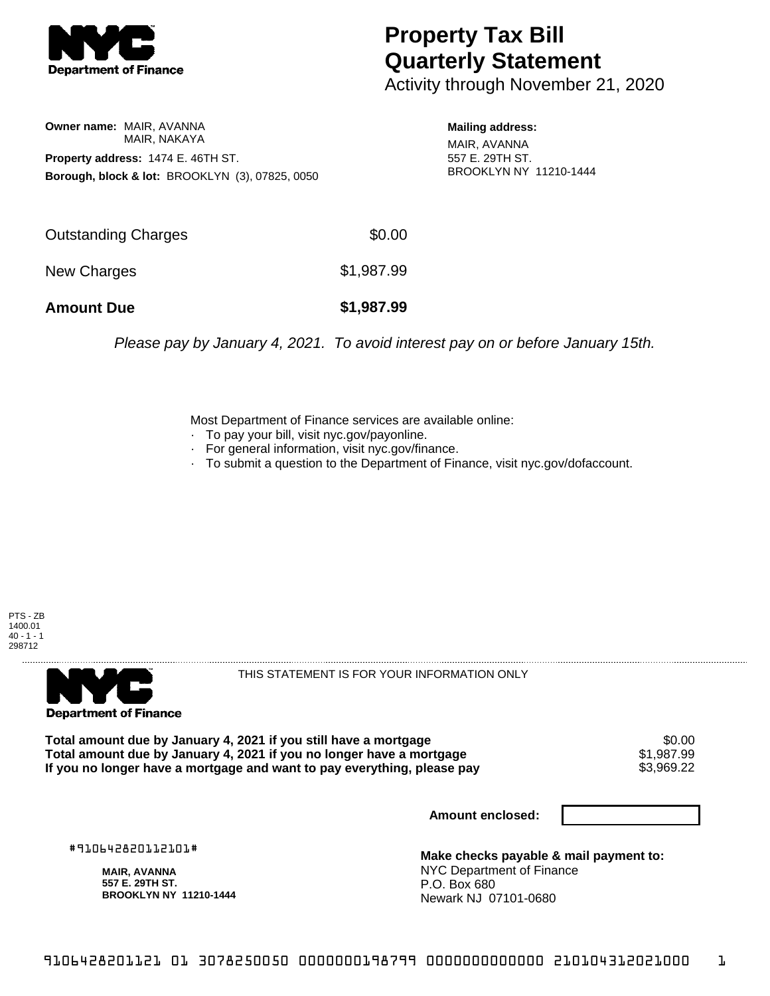

## **Property Tax Bill Quarterly Statement**

Activity through November 21, 2020

**Owner name:** MAIR, AVANNA MAIR, NAKAYA **Property address:** 1474 E. 46TH ST. **Borough, block & lot:** BROOKLYN (3), 07825, 0050

**Mailing address:** MAIR, AVANNA 557 E. 29TH ST. BROOKLYN NY 11210-1444

| <b>Amount Due</b>   | \$1,987.99 |
|---------------------|------------|
| New Charges         | \$1,987.99 |
| Outstanding Charges | \$0.00     |

Please pay by January 4, 2021. To avoid interest pay on or before January 15th.

Most Department of Finance services are available online:

- · To pay your bill, visit nyc.gov/payonline.
- For general information, visit nyc.gov/finance.
- · To submit a question to the Department of Finance, visit nyc.gov/dofaccount.





THIS STATEMENT IS FOR YOUR INFORMATION ONLY

Total amount due by January 4, 2021 if you still have a mortgage \$0.00<br>Total amount due by January 4, 2021 if you no longer have a mortgage \$1.987.99 **Total amount due by January 4, 2021 if you no longer have a mortgage**  $$1,987.99$ **<br>If you no longer have a mortgage and want to pay everything, please pay**  $$3,969.22$ If you no longer have a mortgage and want to pay everything, please pay

**Amount enclosed:**

#910642820112101#

**MAIR, AVANNA 557 E. 29TH ST. BROOKLYN NY 11210-1444**

**Make checks payable & mail payment to:** NYC Department of Finance P.O. Box 680 Newark NJ 07101-0680